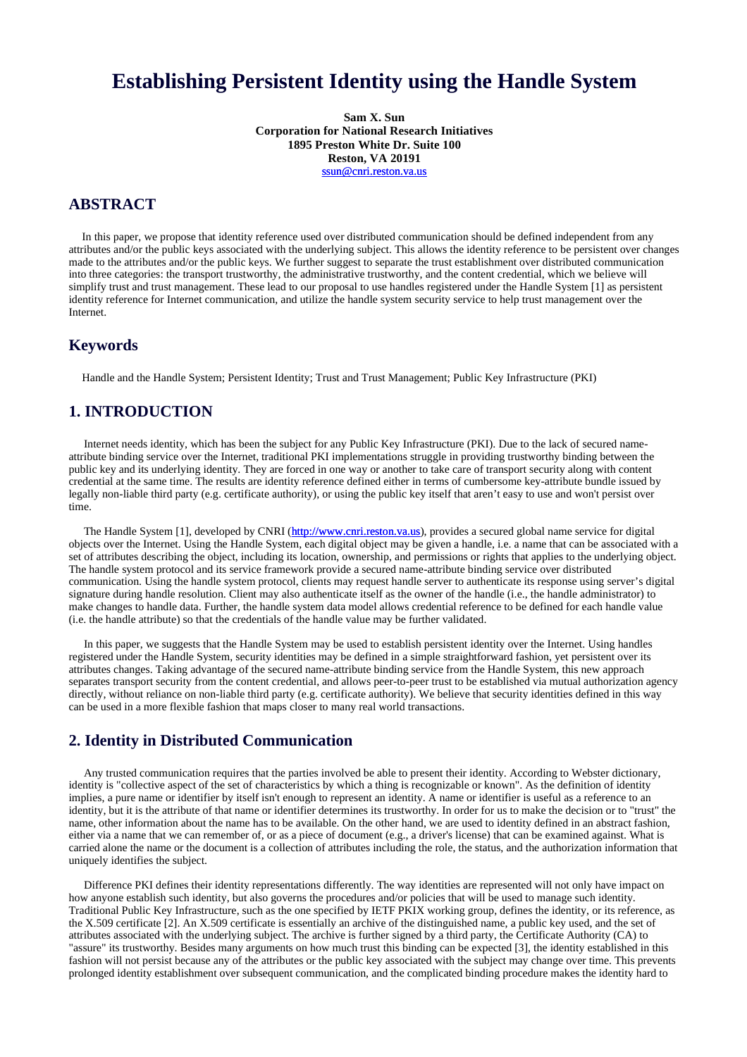# **Establishing Persistent Identity using the Handle System**

**Sam X. Sun Corporation for National Research Initiatives 1895 Preston White Dr. Suite 100 Reston, VA 20191** ssun@cnri.reston.va.us

## **ABSTRACT**

In this paper, we propose that identity reference used over distributed communication should be defined independent from any attributes and/or the public keys associated with the underlying subject. This allows the identity reference to be persistent over changes made to the attributes and/or the public keys. We further suggest to separate the trust establishment over distributed communication into three categories: the transport trustworthy, the administrative trustworthy, and the content credential, which we believe will simplify trust and trust management. These lead to our proposal to use handles registered under the Handle System [1] as persistent identity reference for Internet communication, and utilize the handle system security service to help trust management over the Internet.

#### **Keywords**

Handle and the Handle System; Persistent Identity; Trust and Trust Management; Public Key Infrastructure (PKI)

#### **1. INTRODUCTION**

Internet needs identity, which has been the subject for any Public Key Infrastructure (PKI). Due to the lack of secured nameattribute binding service over the Internet, traditional PKI implementations struggle in providing trustworthy binding between the public key and its underlying identity. They are forced in one way or another to take care of transport security along with content credential at the same time. The results are identity reference defined either in terms of cumbersome key-attribute bundle issued by legally non-liable third party (e.g. certificate authority), or using the public key itself that aren't easy to use and won't persist over time.

The Handle System [1], developed by CNRI (http://www.cnri.reston.va.us), provides a secured global name service for digital objects over the Internet. Using the Handle System, each digital object may be given a handle, i.e. a name that can be associated with a set of attributes describing the object, including its location, ownership, and permissions or rights that applies to the underlying object. The handle system protocol and its service framework provide a secured name-attribute binding service over distributed communication. Using the handle system protocol, clients may request handle server to authenticate its response using server's digital signature during handle resolution. Client may also authenticate itself as the owner of the handle (i.e., the handle administrator) to make changes to handle data. Further, the handle system data model allows credential reference to be defined for each handle value (i.e. the handle attribute) so that the credentials of the handle value may be further validated.

In this paper, we suggests that the Handle System may be used to establish persistent identity over the Internet. Using handles registered under the Handle System, security identities may be defined in a simple straightforward fashion, yet persistent over its attributes changes. Taking advantage of the secured name-attribute binding service from the Handle System, this new approach separates transport security from the content credential, and allows peer-to-peer trust to be established via mutual authorization agency directly, without reliance on non-liable third party (e.g. certificate authority). We believe that security identities defined in this way can be used in a more flexible fashion that maps closer to many real world transactions.

# **2. Identity in Distributed Communication**

Any trusted communication requires that the parties involved be able to present their identity. According to Webster dictionary, identity is "collective aspect of the set of characteristics by which a thing is recognizable or known". As the definition of identity implies, a pure name or identifier by itself isn't enough to represent an identity. A name or identifier is useful as a reference to an identity, but it is the attribute of that name or identifier determines its trustworthy. In order for us to make the decision or to "trust" the name, other information about the name has to be available. On the other hand, we are used to identity defined in an abstract fashion, either via a name that we can remember of, or as a piece of document (e.g., a driver's license) that can be examined against. What is carried alone the name or the document is a collection of attributes including the role, the status, and the authorization information that uniquely identifies the subject.

Difference PKI defines their identity representations differently. The way identities are represented will not only have impact on how anyone establish such identity, but also governs the procedures and/or policies that will be used to manage such identity. Traditional Public Key Infrastructure, such as the one specified by IETF PKIX working group, defines the identity, or its reference, as the X.509 certificate [2]. An X.509 certificate is essentially an archive of the distinguished name, a public key used, and the set of attributes associated with the underlying subject. The archive is further signed by a third party, the Certificate Authority (CA) to "assure" its trustworthy. Besides many arguments on how much trust this binding can be expected [3], the identity established in this fashion will not persist because any of the attributes or the public key associated with the subject may change over time. This prevents prolonged identity establishment over subsequent communication, and the complicated binding procedure makes the identity hard to